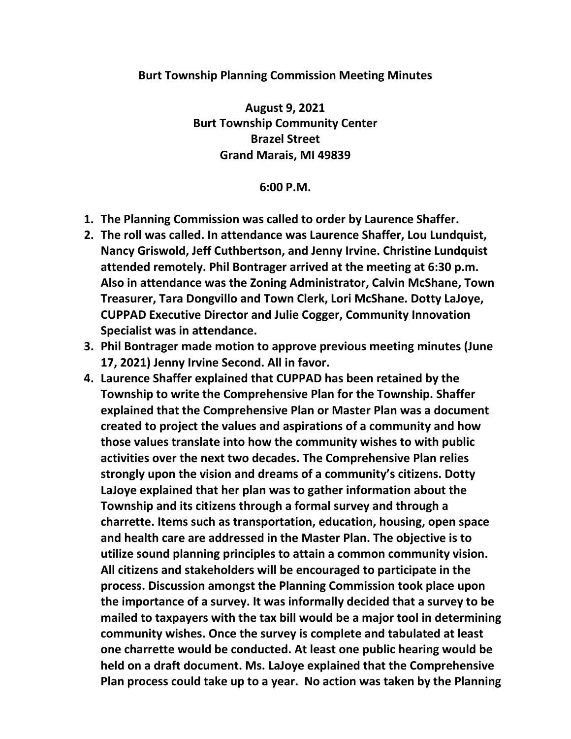## **Burt Township Planning Commission Meeting Minutes**

**August 9, 2021 Burt Township Community Center Brazel Street Grand Marais, MI 49839**

## **6:00 P.M.**

- **1. The Planning Commission was called to order by Laurence Shaffer.**
- **2. The roll was called. In attendance was Laurence Shaffer, Lou Lundquist, Nancy Griswold, Jeff Cuthbertson, and Jenny Irvine. Christine Lundquist attended remotely. Phil Bontrager arrived at the meeting at 6:30 p.m. Also in attendance was the Zoning Administrator, Calvin McShane, Town Treasurer, Tara Dongvillo and Town Clerk, Lori McShane. Dotty LaJoye, CUPPAD Executive Director and Julie Cogger, Community Innovation Specialist was in attendance.**
- **3. Phil Bontrager made motion to approve previous meeting minutes (June 17, 2021) Jenny Irvine Second. All in favor.**
- **4. Laurence Shaffer explained that CUPPAD has been retained by the Township to write the Comprehensive Plan for the Township. Shaffer explained that the Comprehensive Plan or Master Plan was a document created to project the values and aspirations of a community and how those values translate into how the community wishes to with public activities over the next two decades. The Comprehensive Plan relies strongly upon the vision and dreams of a community's citizens. Dotty LaJoye explained that her plan was to gather information about the Township and its citizens through a formal survey and through a charrette. Items such as transportation, education, housing, open space and health care are addressed in the Master Plan. The objective is to utilize sound planning principles to attain a common community vision. All citizens and stakeholders will be encouraged to participate in the process. Discussion amongst the Planning Commission took place upon the importance of a survey. It was informally decided that a survey to be mailed to taxpayers with the tax bill would be a major tool in determining community wishes. Once the survey is complete and tabulated at least one charrette would be conducted. At least one public hearing would be held on a draft document. Ms. LaJoye explained that the Comprehensive Plan process could take up to a year. No action was taken by the Planning**